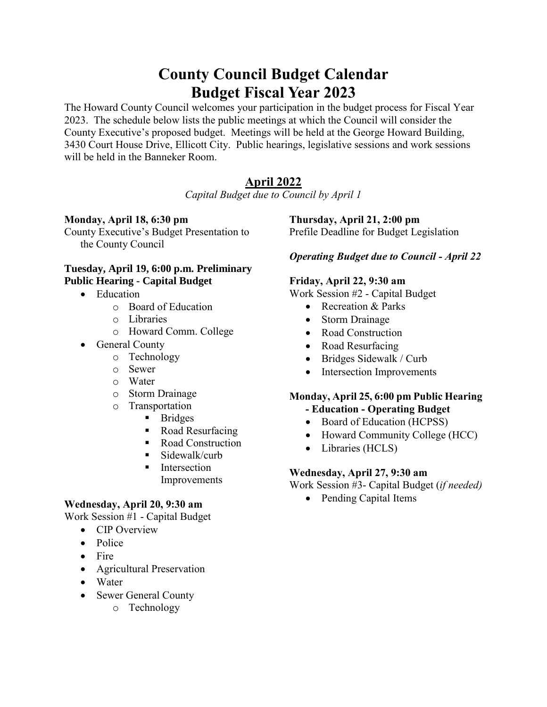# **County Council Budget Calendar Budget Fiscal Year 2023**

The Howard County Council welcomes your participation in the budget process for Fiscal Year 2023. The schedule below lists the public meetings at which the Council will consider the County Executive's proposed budget. Meetings will be held at the George Howard Building, 3430 Court House Drive, Ellicott City. Public hearings, legislative sessions and work sessions will be held in the Banneker Room.

# **April 2022**

*Capital Budget due to Council by April 1*

#### **Monday, April 18, 6:30 pm**

County Executive's Budget Presentation to the County Council

#### **Tuesday, April 19, 6:00 p.m. Preliminary Public Hearing - Capital Budget**

- Education
	- o Board of Education
	- o Libraries
	- o Howard Comm. College
- General County
	- o Technology
	- o Sewer
	- o Water
	- o Storm Drainage
	- o Transportation
		- Bridges
		- Road Resurfacing
		- Road Construction
		- $\blacksquare$  Sidewalk/curb
		- **■** Intersection
		- Improvements

# **Wednesday, April 20, 9:30 am**

Work Session #1 - Capital Budget

- CIP Overview
- Police
- Fire
- Agricultural Preservation
- Water
- Sewer General County
	- o Technology

#### **Thursday, April 21, 2:00 pm**

Prefile Deadline for Budget Legislation

# *Operating Budget due to Council - April 22*

#### **Friday, April 22, 9:30 am**

Work Session #2 - Capital Budget

- Recreation & Parks
- Storm Drainage
- Road Construction
- Road Resurfacing
- Bridges Sidewalk / Curb
- Intersection Improvements

#### **Monday, April 25, 6:00 pm Public Hearing - Education - Operating Budget**

- Board of Education (HCPSS)
- Howard Community College (HCC)
- Libraries (HCLS)

# **Wednesday, April 27, 9:30 am**

Work Session #3- Capital Budget (*if needed)*

• Pending Capital Items